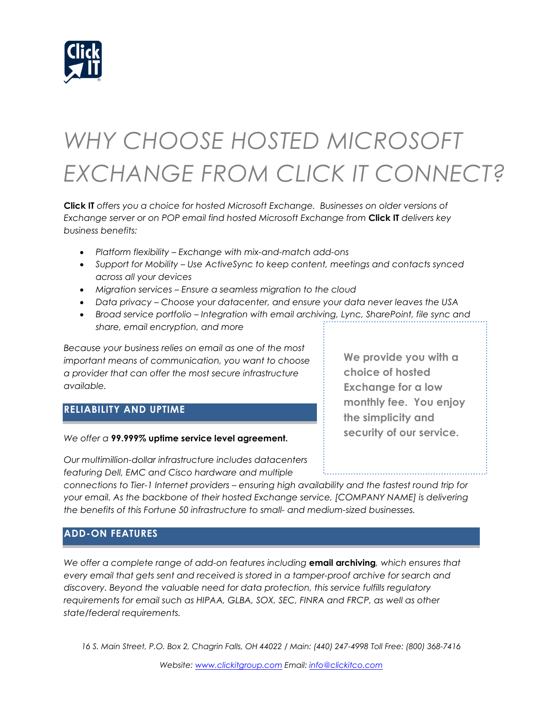

# *WHY CHOOSE HOSTED MICROSOFT EXCHANGE FROM CLICK IT CONNECT?*

**Click IT** *offers you a choice for hosted Microsoft Exchange. Businesses on older versions of Exchange server or on POP email find hosted Microsoft Exchange from* **Click IT** *delivers key business benefits:*

- *Platform flexibility – Exchange with mix-and-match add-ons*
- *Support for Mobility – Use ActiveSync to keep content, meetings and contacts synced across all your devices*
- *Migration services – Ensure a seamless migration to the cloud*
- *Data privacy – Choose your datacenter, and ensure your data never leaves the USA*
- *Broad service portfolio – Integration with email archiving, Lync, SharePoint, file sync and share, email encryption, and more*

*Because your business relies on email as one of the most important means of communication, you want to choose a provider that can offer the most secure infrastructure available.* 

### **RELIABILITY AND UPTIME**

*We offer a* **99.999% uptime service level agreement.** 

*Our multimillion-dollar infrastructure includes datacenters featuring Dell, EMC and Cisco hardware and multiple* 

*connections to Tier-1 Internet providers – ensuring high availability and the fastest round trip for your email. As the backbone of their hosted Exchange service, [COMPANY NAME] is delivering the benefits of this Fortune 50 infrastructure to small- and medium-sized businesses.* 

### **ADD-ON FEATURES**

*We offer a complete range of add-on features including* **email archiving***, which ensures that every email that gets sent and received is stored in a tamper-proof archive for search and discovery. Beyond the valuable need for data protection, this service fulfills regulatory requirements for email such as HIPAA, GLBA, SOX, SEC, FINRA and FRCP, as well as other state/federal requirements.*

*16 S. Main Street, P.O. Box 2, Chagrin Falls, OH 44022 / Main: (440) 247-4998 Toll Free: (800) 368-7416*

**We provide you with a choice of hosted Exchange for a low monthly fee. You enjoy the simplicity and security of our service.**